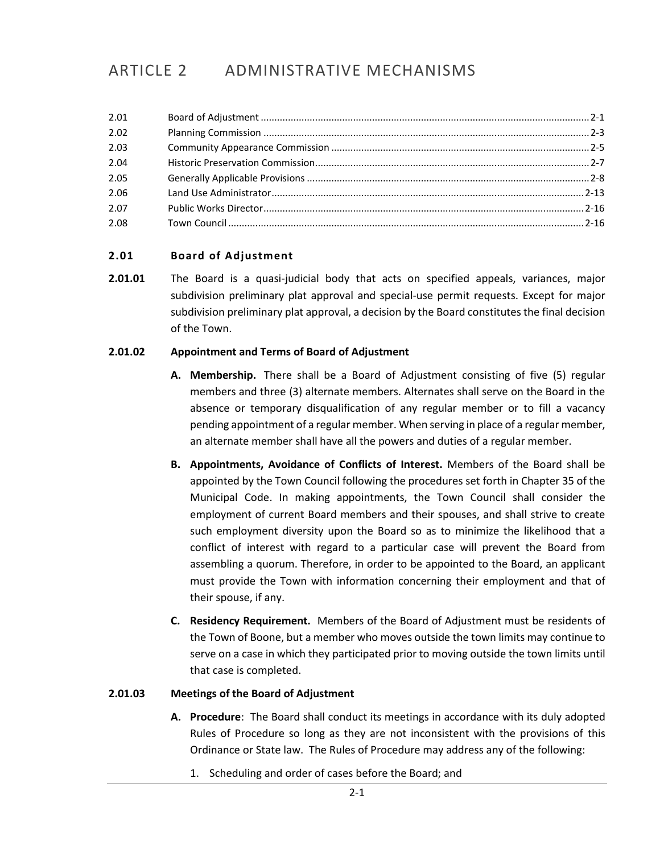# ARTICLE 2 ADMINISTRATIVE MECHANISMS

| 2.01 |  |
|------|--|
| 2.02 |  |
| 2.03 |  |
| 2.04 |  |
| 2.05 |  |
| 2.06 |  |
| 2.07 |  |
| 2.08 |  |

### <span id="page-0-0"></span>**2.01 Board of Adjustment**

**2.01.01** The Board is a quasi-judicial body that acts on specified appeals, variances, major subdivision preliminary plat approval and special-use permit requests. Except for major subdivision preliminary plat approval, a decision by the Board constitutes the final decision of the Town.

#### **2.01.02 Appointment and Terms of Board of Adjustment**

- **A. Membership.** There shall be a Board of Adjustment consisting of five (5) regular members and three (3) alternate members. Alternates shall serve on the Board in the absence or temporary disqualification of any regular member or to fill a vacancy pending appointment of a regular member. When serving in place of a regular member, an alternate member shall have all the powers and duties of a regular member.
- **B. Appointments, Avoidance of Conflicts of Interest.** Members of the Board shall be appointed by the Town Council following the procedures set forth in Chapter 35 of the Municipal Code. In making appointments, the Town Council shall consider the employment of current Board members and their spouses, and shall strive to create such employment diversity upon the Board so as to minimize the likelihood that a conflict of interest with regard to a particular case will prevent the Board from assembling a quorum. Therefore, in order to be appointed to the Board, an applicant must provide the Town with information concerning their employment and that of their spouse, if any.
- **C. Residency Requirement.** Members of the Board of Adjustment must be residents of the Town of Boone, but a member who moves outside the town limits may continue to serve on a case in which they participated prior to moving outside the town limits until that case is completed.

#### **2.01.03 Meetings of the Board of Adjustment**

- **A. Procedure**: The Board shall conduct its meetings in accordance with its duly adopted Rules of Procedure so long as they are not inconsistent with the provisions of this Ordinance or State law. The Rules of Procedure may address any of the following:
	- 1. Scheduling and order of cases before the Board; and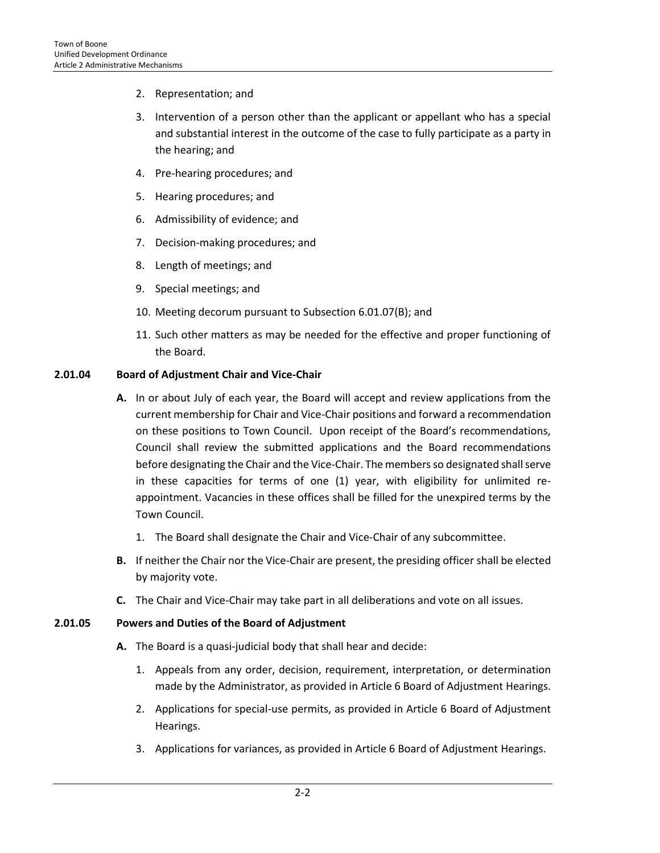- 2. Representation; and
- 3. Intervention of a person other than the applicant or appellant who has a special and substantial interest in the outcome of the case to fully participate as a party in the hearing; and
- 4. Pre-hearing procedures; and
- 5. Hearing procedures; and
- 6. Admissibility of evidence; and
- 7. Decision-making procedures; and
- 8. Length of meetings; and
- 9. Special meetings; and
- 10. Meeting decorum pursuant to Subsection 6.01.07(B); and
- 11. Such other matters as may be needed for the effective and proper functioning of the Board.

#### **2.01.04 Board of Adjustment Chair and Vice-Chair**

- **A.** In or about July of each year, the Board will accept and review applications from the current membership for Chair and Vice-Chair positions and forward a recommendation on these positions to Town Council. Upon receipt of the Board's recommendations, Council shall review the submitted applications and the Board recommendations before designating the Chair and the Vice-Chair. The membersso designated shall serve in these capacities for terms of one (1) year, with eligibility for unlimited reappointment. Vacancies in these offices shall be filled for the unexpired terms by the Town Council.
	- 1. The Board shall designate the Chair and Vice-Chair of any subcommittee.
- **B.** If neither the Chair nor the Vice-Chair are present, the presiding officer shall be elected by majority vote.
- **C.** The Chair and Vice-Chair may take part in all deliberations and vote on all issues.

#### **2.01.05 Powers and Duties of the Board of Adjustment**

- **A.** The Board is a quasi-judicial body that shall hear and decide:
	- 1. Appeals from any order, decision, requirement, interpretation, or determination made by the Administrator, as provided in Article 6 Board of Adjustment Hearings.
	- 2. Applications for special-use permits, as provided in Article 6 Board of Adjustment Hearings.
	- 3. Applications for variances, as provided in Article 6 Board of Adjustment Hearings.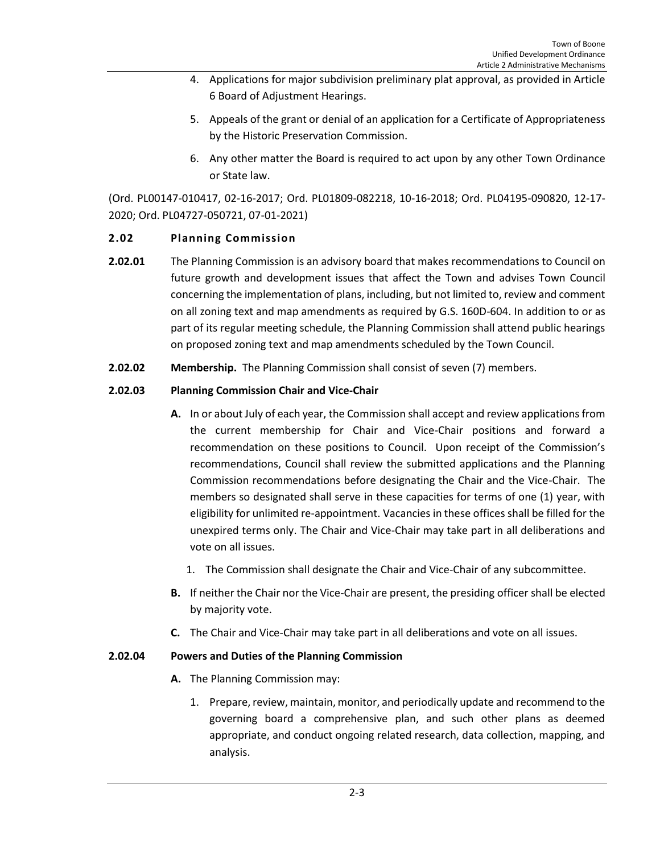- 4. Applications for major subdivision preliminary plat approval, as provided in Article 6 Board of Adjustment Hearings.
- 5. Appeals of the grant or denial of an application for a Certificate of Appropriateness by the Historic Preservation Commission.
- 6. Any other matter the Board is required to act upon by any other Town Ordinance or State law.

(Ord. PL00147-010417, 02-16-2017; Ord. PL01809-082218, 10-16-2018; Ord. PL04195-090820, 12-17- 2020; Ord. PL04727-050721, 07-01-2021)

# <span id="page-2-0"></span>**2.02 Planning Commission**

- **2.02.01** The Planning Commission is an advisory board that makes recommendations to Council on future growth and development issues that affect the Town and advises Town Council concerning the implementation of plans, including, but not limited to, review and comment on all zoning text and map amendments as required by G.S. 160D-604. In addition to or as part of its regular meeting schedule, the Planning Commission shall attend public hearings on proposed zoning text and map amendments scheduled by the Town Council.
- **2.02.02 Membership.** The Planning Commission shall consist of seven (7) members.

# **2.02.03 Planning Commission Chair and Vice-Chair**

- **A.** In or about July of each year, the Commission shall accept and review applications from the current membership for Chair and Vice-Chair positions and forward a recommendation on these positions to Council. Upon receipt of the Commission's recommendations, Council shall review the submitted applications and the Planning Commission recommendations before designating the Chair and the Vice-Chair. The members so designated shall serve in these capacities for terms of one (1) year, with eligibility for unlimited re-appointment. Vacancies in these offices shall be filled for the unexpired terms only. The Chair and Vice-Chair may take part in all deliberations and vote on all issues.
	- 1. The Commission shall designate the Chair and Vice-Chair of any subcommittee.
- **B.** If neither the Chair nor the Vice-Chair are present, the presiding officer shall be elected by majority vote.
- **C.** The Chair and Vice-Chair may take part in all deliberations and vote on all issues.

# **2.02.04 Powers and Duties of the Planning Commission**

- **A.** The Planning Commission may:
	- 1. Prepare, review, maintain, monitor, and periodically update and recommend to the governing board a comprehensive plan, and such other plans as deemed appropriate, and conduct ongoing related research, data collection, mapping, and analysis.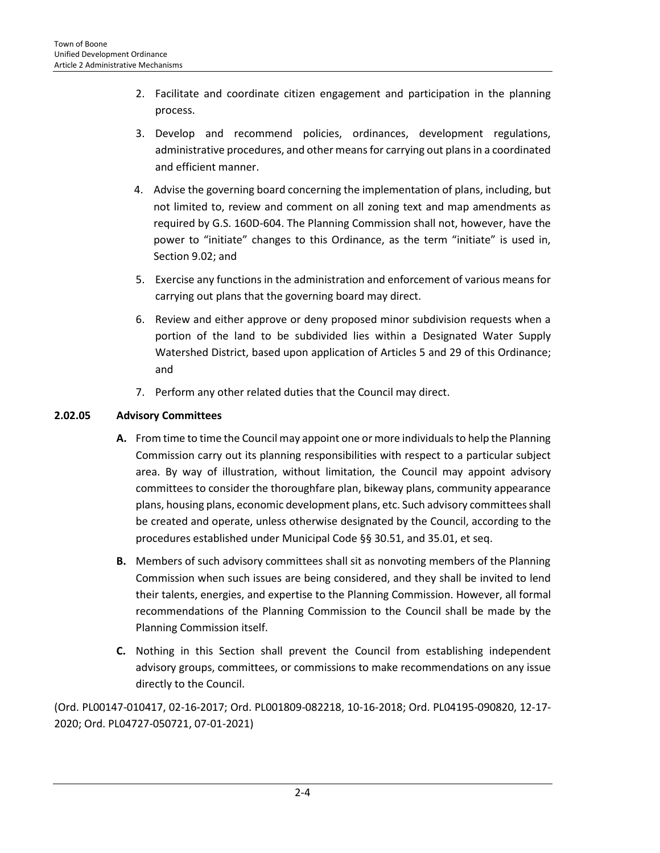- 2. Facilitate and coordinate citizen engagement and participation in the planning process.
- 3. Develop and recommend policies, ordinances, development regulations, administrative procedures, and other means for carrying out plans in a coordinated and efficient manner.
- 4. Advise the governing board concerning the implementation of plans, including, but not limited to, review and comment on all zoning text and map amendments as required by G.S. 160D-604. The Planning Commission shall not, however, have the power to "initiate" changes to this Ordinance, as the term "initiate" is used in, Section 9.02; and
- 5. Exercise any functions in the administration and enforcement of various means for carrying out plans that the governing board may direct.
- 6. Review and either approve or deny proposed minor subdivision requests when a portion of the land to be subdivided lies within a Designated Water Supply Watershed District, based upon application of Articles 5 and 29 of this Ordinance; and
- 7. Perform any other related duties that the Council may direct.

# **2.02.05 Advisory Committees**

- **A.** From time to time the Council may appoint one or more individuals to help the Planning Commission carry out its planning responsibilities with respect to a particular subject area. By way of illustration, without limitation, the Council may appoint advisory committees to consider the thoroughfare plan, bikeway plans, community appearance plans, housing plans, economic development plans, etc. Such advisory committees shall be created and operate, unless otherwise designated by the Council, according to the procedures established under Municipal Code §§ 30.51, and 35.01, et seq.
- **B.** Members of such advisory committees shall sit as nonvoting members of the Planning Commission when such issues are being considered, and they shall be invited to lend their talents, energies, and expertise to the Planning Commission. However, all formal recommendations of the Planning Commission to the Council shall be made by the Planning Commission itself.
- **C.** Nothing in this Section shall prevent the Council from establishing independent advisory groups, committees, or commissions to make recommendations on any issue directly to the Council.

(Ord. PL00147-010417, 02-16-2017; Ord. PL001809-082218, 10-16-2018; Ord. PL04195-090820, 12-17- 2020; Ord. PL04727-050721, 07-01-2021)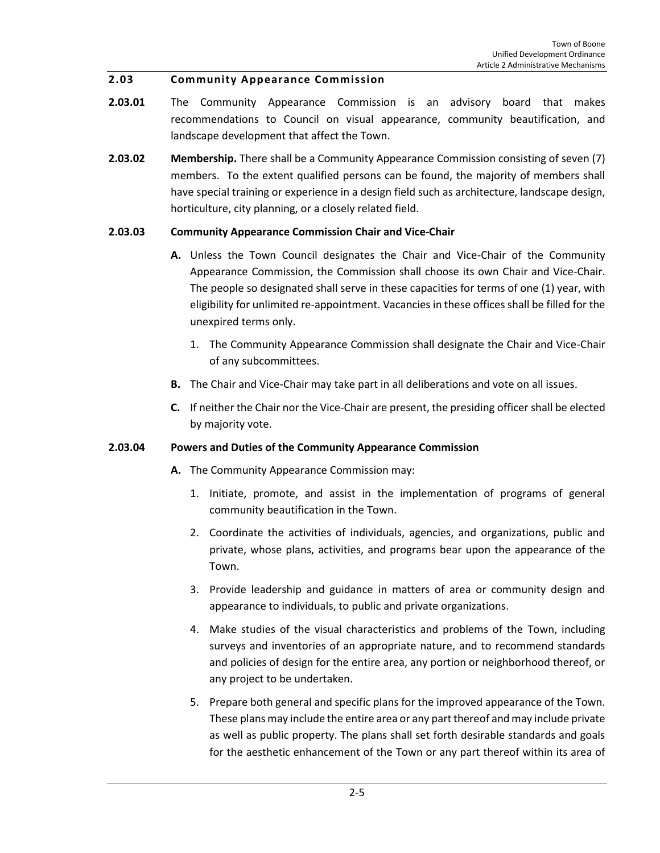### <span id="page-4-0"></span>**2.03 Community Appearance Commission**

- **2.03.01** The Community Appearance Commission is an advisory board that makes recommendations to Council on visual appearance, community beautification, and landscape development that affect the Town.
- **2.03.02 Membership.** There shall be a Community Appearance Commission consisting of seven (7) members. To the extent qualified persons can be found, the majority of members shall have special training or experience in a design field such as architecture, landscape design, horticulture, city planning, or a closely related field.

### **2.03.03 Community Appearance Commission Chair and Vice-Chair**

- **A.** Unless the Town Council designates the Chair and Vice-Chair of the Community Appearance Commission, the Commission shall choose its own Chair and Vice-Chair. The people so designated shall serve in these capacities for terms of one (1) year, with eligibility for unlimited re-appointment. Vacancies in these offices shall be filled for the unexpired terms only.
	- 1. The Community Appearance Commission shall designate the Chair and Vice-Chair of any subcommittees.
- **B.** The Chair and Vice-Chair may take part in all deliberations and vote on all issues.
- **C.** If neither the Chair nor the Vice-Chair are present, the presiding officer shall be elected by majority vote.

# **2.03.04 Powers and Duties of the Community Appearance Commission**

- **A.** The Community Appearance Commission may:
	- 1. Initiate, promote, and assist in the implementation of programs of general community beautification in the Town.
	- 2. Coordinate the activities of individuals, agencies, and organizations, public and private, whose plans, activities, and programs bear upon the appearance of the Town.
	- 3. Provide leadership and guidance in matters of area or community design and appearance to individuals, to public and private organizations.
	- 4. Make studies of the visual characteristics and problems of the Town, including surveys and inventories of an appropriate nature, and to recommend standards and policies of design for the entire area, any portion or neighborhood thereof, or any project to be undertaken.
	- 5. Prepare both general and specific plans for the improved appearance of the Town. These plans may include the entire area or any part thereof and may include private as well as public property. The plans shall set forth desirable standards and goals for the aesthetic enhancement of the Town or any part thereof within its area of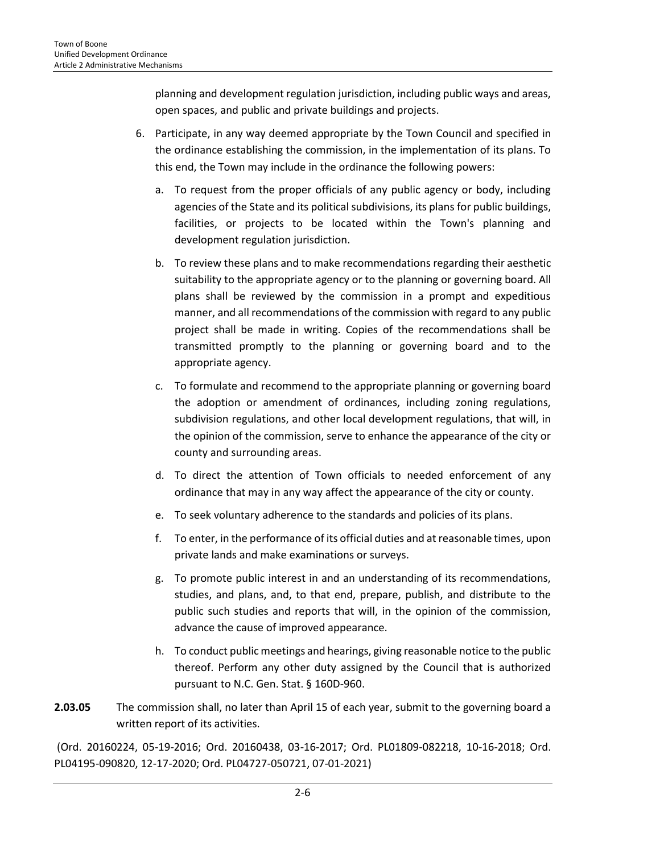planning and development regulation jurisdiction, including public ways and areas, open spaces, and public and private buildings and projects.

- 6. Participate, in any way deemed appropriate by the Town Council and specified in the ordinance establishing the commission, in the implementation of its plans. To this end, the Town may include in the ordinance the following powers:
	- a. To request from the proper officials of any public agency or body, including agencies of the State and its political subdivisions, its plans for public buildings, facilities, or projects to be located within the Town's planning and development regulation jurisdiction.
	- b. To review these plans and to make recommendations regarding their aesthetic suitability to the appropriate agency or to the planning or governing board. All plans shall be reviewed by the commission in a prompt and expeditious manner, and all recommendations of the commission with regard to any public project shall be made in writing. Copies of the recommendations shall be transmitted promptly to the planning or governing board and to the appropriate agency.
	- c. To formulate and recommend to the appropriate planning or governing board the adoption or amendment of ordinances, including zoning regulations, subdivision regulations, and other local development regulations, that will, in the opinion of the commission, serve to enhance the appearance of the city or county and surrounding areas.
	- d. To direct the attention of Town officials to needed enforcement of any ordinance that may in any way affect the appearance of the city or county.
	- e. To seek voluntary adherence to the standards and policies of its plans.
	- f. To enter, in the performance of its official duties and at reasonable times, upon private lands and make examinations or surveys.
	- g. To promote public interest in and an understanding of its recommendations, studies, and plans, and, to that end, prepare, publish, and distribute to the public such studies and reports that will, in the opinion of the commission, advance the cause of improved appearance.
	- h. To conduct public meetings and hearings, giving reasonable notice to the public thereof. Perform any other duty assigned by the Council that is authorized pursuant to N.C. Gen. Stat. § 160D-960.
- **2.03.05** The commission shall, no later than April 15 of each year, submit to the governing board a written report of its activities.

(Ord. 20160224, 05-19-2016; Ord. 20160438, 03-16-2017; Ord. PL01809-082218, 10-16-2018; Ord. PL04195-090820, 12-17-2020; Ord. PL04727-050721, 07-01-2021)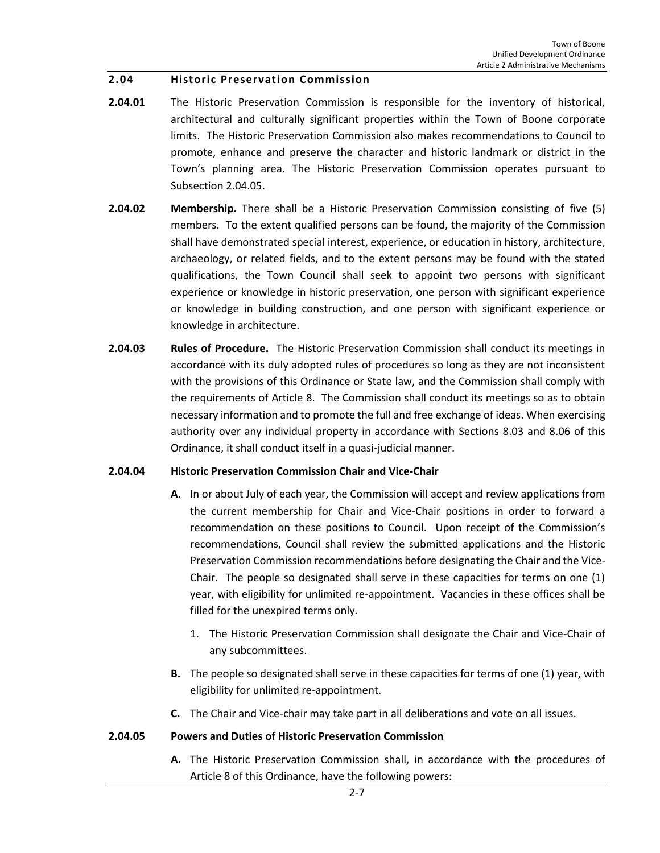#### <span id="page-6-0"></span>**2.04 Historic Preservation Commission**

- **2.04.01** The Historic Preservation Commission is responsible for the inventory of historical, architectural and culturally significant properties within the Town of Boone corporate limits. The Historic Preservation Commission also makes recommendations to Council to promote, enhance and preserve the character and historic landmark or district in the Town's planning area. The Historic Preservation Commission operates pursuant to Subsection 2.04.05.
- **2.04.02 Membership.** There shall be a Historic Preservation Commission consisting of five (5) members. To the extent qualified persons can be found, the majority of the Commission shall have demonstrated special interest, experience, or education in history, architecture, archaeology, or related fields, and to the extent persons may be found with the stated qualifications, the Town Council shall seek to appoint two persons with significant experience or knowledge in historic preservation, one person with significant experience or knowledge in building construction, and one person with significant experience or knowledge in architecture.
- **2.04.03 Rules of Procedure.** The Historic Preservation Commission shall conduct its meetings in accordance with its duly adopted rules of procedures so long as they are not inconsistent with the provisions of this Ordinance or State law, and the Commission shall comply with the requirements of Article 8. The Commission shall conduct its meetings so as to obtain necessary information and to promote the full and free exchange of ideas. When exercising authority over any individual property in accordance with Sections 8.03 and 8.06 of this Ordinance, it shall conduct itself in a quasi-judicial manner.

#### **2.04.04 Historic Preservation Commission Chair and Vice-Chair**

- **A.** In or about July of each year, the Commission will accept and review applications from the current membership for Chair and Vice-Chair positions in order to forward a recommendation on these positions to Council. Upon receipt of the Commission's recommendations, Council shall review the submitted applications and the Historic Preservation Commission recommendations before designating the Chair and the Vice-Chair. The people so designated shall serve in these capacities for terms on one (1) year, with eligibility for unlimited re-appointment. Vacancies in these offices shall be filled for the unexpired terms only.
	- 1. The Historic Preservation Commission shall designate the Chair and Vice-Chair of any subcommittees.
- **B.** The people so designated shall serve in these capacities for terms of one (1) year, with eligibility for unlimited re-appointment.
- **C.** The Chair and Vice-chair may take part in all deliberations and vote on all issues.

#### **2.04.05 Powers and Duties of Historic Preservation Commission**

**A.** The Historic Preservation Commission shall, in accordance with the procedures of Article 8 of this Ordinance, have the following powers: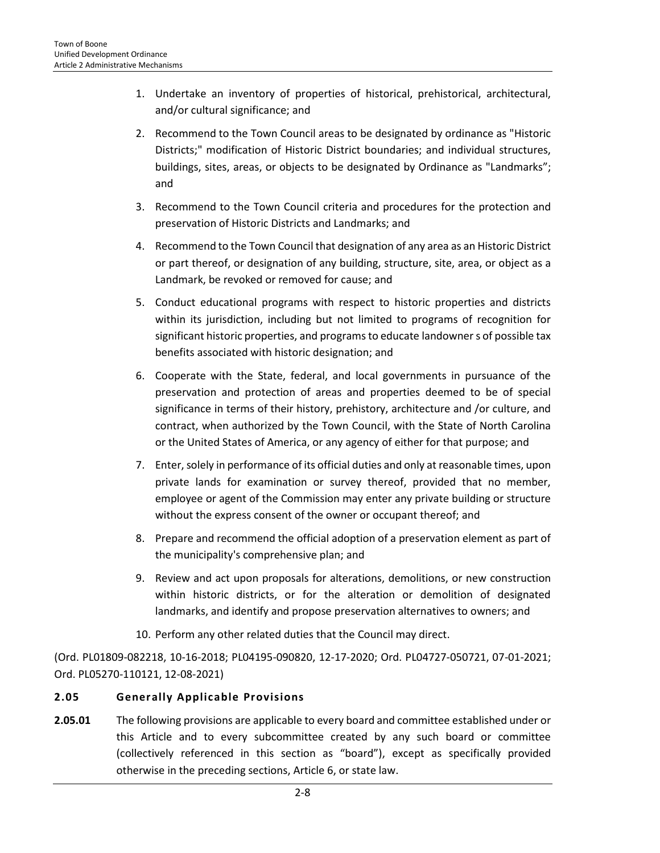- 1. Undertake an inventory of properties of historical, prehistorical, architectural, and/or cultural significance; and
- 2. Recommend to the Town Council areas to be designated by ordinance as "Historic Districts;" modification of Historic District boundaries; and individual structures, buildings, sites, areas, or objects to be designated by Ordinance as "Landmarks"; and
- 3. Recommend to the Town Council criteria and procedures for the protection and preservation of Historic Districts and Landmarks; and
- 4. Recommend to the Town Council that designation of any area as an Historic District or part thereof, or designation of any building, structure, site, area, or object as a Landmark, be revoked or removed for cause; and
- 5. Conduct educational programs with respect to historic properties and districts within its jurisdiction, including but not limited to programs of recognition for significant historic properties, and programs to educate landowner s of possible tax benefits associated with historic designation; and
- 6. Cooperate with the State, federal, and local governments in pursuance of the preservation and protection of areas and properties deemed to be of special significance in terms of their history, prehistory, architecture and /or culture, and contract, when authorized by the Town Council, with the State of North Carolina or the United States of America, or any agency of either for that purpose; and
- 7. Enter, solely in performance of its official duties and only at reasonable times, upon private lands for examination or survey thereof, provided that no member, employee or agent of the Commission may enter any private building or structure without the express consent of the owner or occupant thereof; and
- 8. Prepare and recommend the official adoption of a preservation element as part of the municipality's comprehensive plan; and
- 9. Review and act upon proposals for alterations, demolitions, or new construction within historic districts, or for the alteration or demolition of designated landmarks, and identify and propose preservation alternatives to owners; and
- 10. Perform any other related duties that the Council may direct.

(Ord. PL01809-082218, 10-16-2018; PL04195-090820, 12-17-2020; Ord. PL04727-050721, 07-01-2021; Ord. PL05270-110121, 12-08-2021)

# <span id="page-7-0"></span>**2.05 Generally Applicable Provisions**

**2.05.01** The following provisions are applicable to every board and committee established under or this Article and to every subcommittee created by any such board or committee (collectively referenced in this section as "board"), except as specifically provided otherwise in the preceding sections, Article 6, or state law.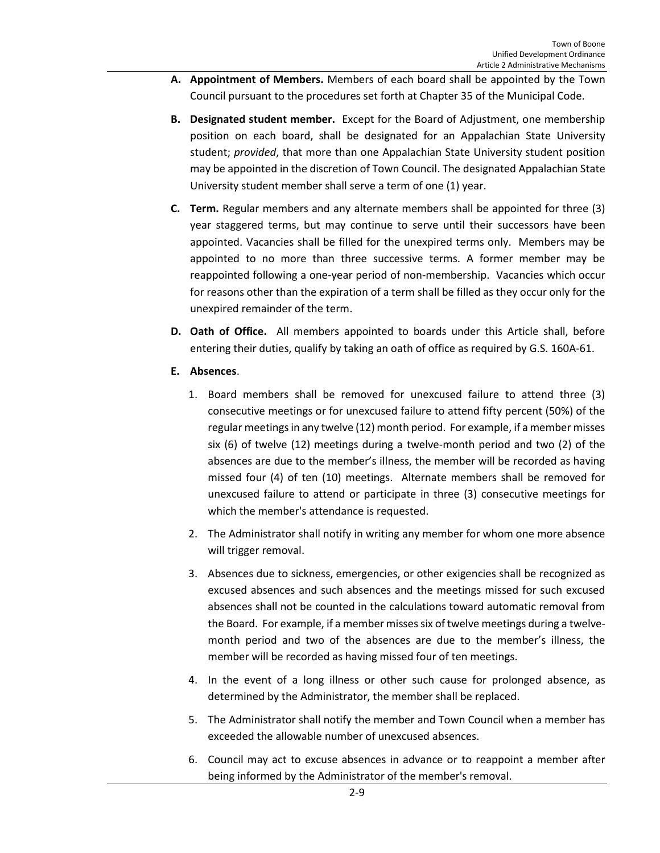- **A. Appointment of Members.** Members of each board shall be appointed by the Town Council pursuant to the procedures set forth at Chapter 35 of the Municipal Code.
- **B. Designated student member.** Except for the Board of Adjustment, one membership position on each board, shall be designated for an Appalachian State University student; *provided*, that more than one Appalachian State University student position may be appointed in the discretion of Town Council. The designated Appalachian State University student member shall serve a term of one (1) year.
- **C. Term.** Regular members and any alternate members shall be appointed for three (3) year staggered terms, but may continue to serve until their successors have been appointed. Vacancies shall be filled for the unexpired terms only. Members may be appointed to no more than three successive terms. A former member may be reappointed following a one-year period of non-membership. Vacancies which occur for reasons other than the expiration of a term shall be filled as they occur only for the unexpired remainder of the term.
- **D. Oath of Office.** All members appointed to boards under this Article shall, before entering their duties, qualify by taking an oath of office as required by G.S. 160A-61.
- **E. Absences**.
	- 1. Board members shall be removed for unexcused failure to attend three (3) consecutive meetings or for unexcused failure to attend fifty percent (50%) of the regular meetings in any twelve (12) month period. For example, if a member misses six (6) of twelve (12) meetings during a twelve-month period and two (2) of the absences are due to the member's illness, the member will be recorded as having missed four (4) of ten (10) meetings. Alternate members shall be removed for unexcused failure to attend or participate in three (3) consecutive meetings for which the member's attendance is requested.
	- 2. The Administrator shall notify in writing any member for whom one more absence will trigger removal.
	- 3. Absences due to sickness, emergencies, or other exigencies shall be recognized as excused absences and such absences and the meetings missed for such excused absences shall not be counted in the calculations toward automatic removal from the Board. For example, if a member misses six of twelve meetings during a twelvemonth period and two of the absences are due to the member's illness, the member will be recorded as having missed four of ten meetings.
	- 4. In the event of a long illness or other such cause for prolonged absence, as determined by the Administrator, the member shall be replaced.
	- 5. The Administrator shall notify the member and Town Council when a member has exceeded the allowable number of unexcused absences.
	- 6. Council may act to excuse absences in advance or to reappoint a member after being informed by the Administrator of the member's removal.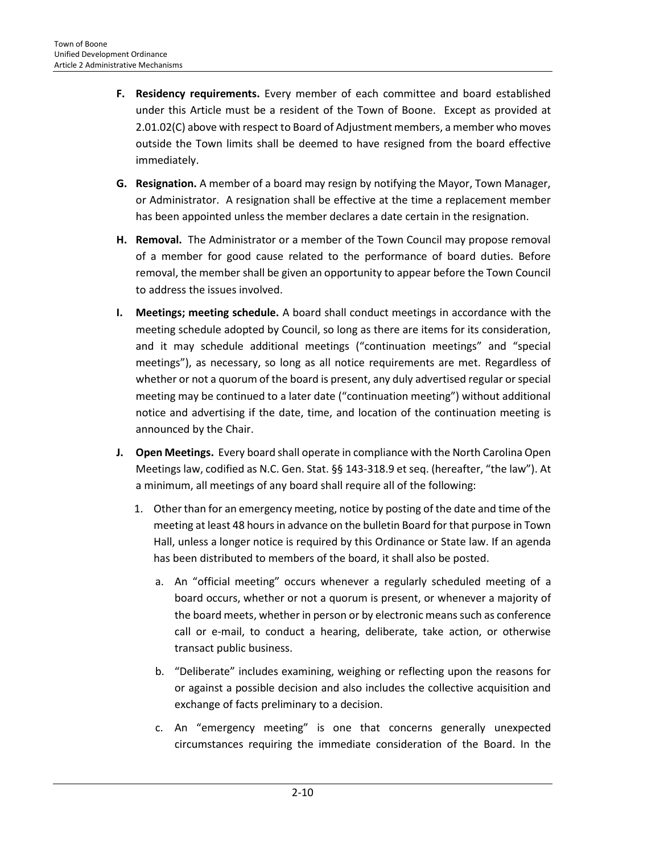- **F. Residency requirements.** Every member of each committee and board established under this Article must be a resident of the Town of Boone. Except as provided at 2.01.02(C) above with respect to Board of Adjustment members, a member who moves outside the Town limits shall be deemed to have resigned from the board effective immediately.
- **G. Resignation.** A member of a board may resign by notifying the Mayor, Town Manager, or Administrator. A resignation shall be effective at the time a replacement member has been appointed unless the member declares a date certain in the resignation.
- **H. Removal.** The Administrator or a member of the Town Council may propose removal of a member for good cause related to the performance of board duties. Before removal, the member shall be given an opportunity to appear before the Town Council to address the issues involved.
- **I. Meetings; meeting schedule.** A board shall conduct meetings in accordance with the meeting schedule adopted by Council, so long as there are items for its consideration, and it may schedule additional meetings ("continuation meetings" and "special meetings"), as necessary, so long as all notice requirements are met. Regardless of whether or not a quorum of the board is present, any duly advertised regular or special meeting may be continued to a later date ("continuation meeting") without additional notice and advertising if the date, time, and location of the continuation meeting is announced by the Chair.
- **J. Open Meetings.** Every board shall operate in compliance with the North Carolina Open Meetings law, codified as N.C. Gen. Stat. §§ 143-318.9 et seq. (hereafter, "the law"). At a minimum, all meetings of any board shall require all of the following:
	- 1. Other than for an emergency meeting, notice by posting of the date and time of the meeting at least 48 hours in advance on the bulletin Board for that purpose in Town Hall, unless a longer notice is required by this Ordinance or State law. If an agenda has been distributed to members of the board, it shall also be posted.
		- a. An "official meeting" occurs whenever a regularly scheduled meeting of a board occurs, whether or not a quorum is present, or whenever a majority of the board meets, whether in person or by electronic means such as conference call or e-mail, to conduct a hearing, deliberate, take action, or otherwise transact public business.
		- b. "Deliberate" includes examining, weighing or reflecting upon the reasons for or against a possible decision and also includes the collective acquisition and exchange of facts preliminary to a decision.
		- c. An "emergency meeting" is one that concerns generally unexpected circumstances requiring the immediate consideration of the Board. In the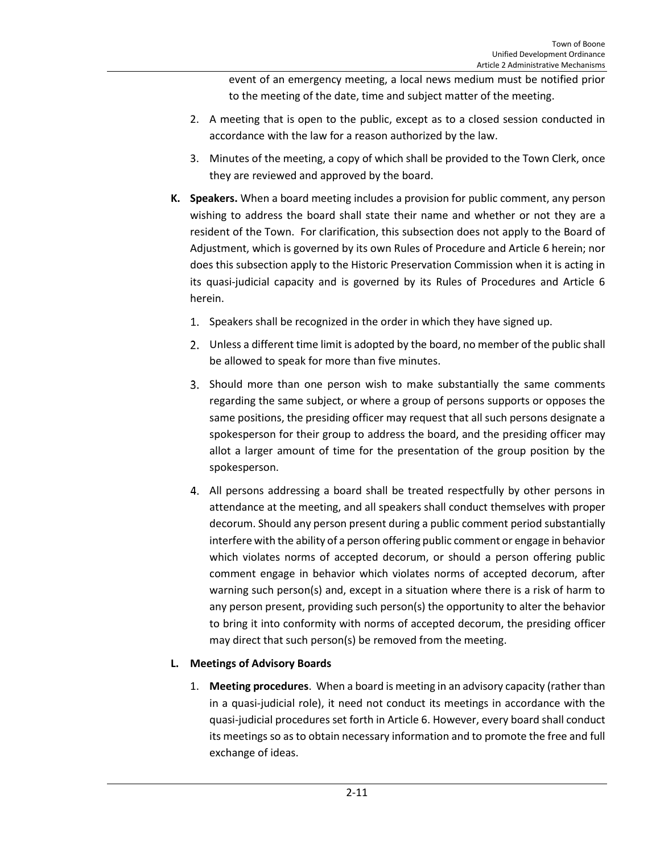event of an emergency meeting, a local news medium must be notified prior to the meeting of the date, time and subject matter of the meeting.

- 2. A meeting that is open to the public, except as to a closed session conducted in accordance with the law for a reason authorized by the law.
- 3. Minutes of the meeting, a copy of which shall be provided to the Town Clerk, once they are reviewed and approved by the board.
- **K. Speakers.** When a board meeting includes a provision for public comment, any person wishing to address the board shall state their name and whether or not they are a resident of the Town. For clarification, this subsection does not apply to the Board of Adjustment, which is governed by its own Rules of Procedure and Article 6 herein; nor does this subsection apply to the Historic Preservation Commission when it is acting in its quasi-judicial capacity and is governed by its Rules of Procedures and Article 6 herein.
	- 1. Speakers shall be recognized in the order in which they have signed up.
	- Unless a different time limit is adopted by the board, no member of the public shall be allowed to speak for more than five minutes.
	- Should more than one person wish to make substantially the same comments regarding the same subject, or where a group of persons supports or opposes the same positions, the presiding officer may request that all such persons designate a spokesperson for their group to address the board, and the presiding officer may allot a larger amount of time for the presentation of the group position by the spokesperson.
	- All persons addressing a board shall be treated respectfully by other persons in attendance at the meeting, and all speakers shall conduct themselves with proper decorum. Should any person present during a public comment period substantially interfere with the ability of a person offering public comment or engage in behavior which violates norms of accepted decorum, or should a person offering public comment engage in behavior which violates norms of accepted decorum, after warning such person(s) and, except in a situation where there is a risk of harm to any person present, providing such person(s) the opportunity to alter the behavior to bring it into conformity with norms of accepted decorum, the presiding officer may direct that such person(s) be removed from the meeting.

# **L. Meetings of Advisory Boards**

1. **Meeting procedures**. When a board is meeting in an advisory capacity (rather than in a quasi-judicial role), it need not conduct its meetings in accordance with the quasi-judicial procedures set forth in Article 6. However, every board shall conduct its meetings so as to obtain necessary information and to promote the free and full exchange of ideas.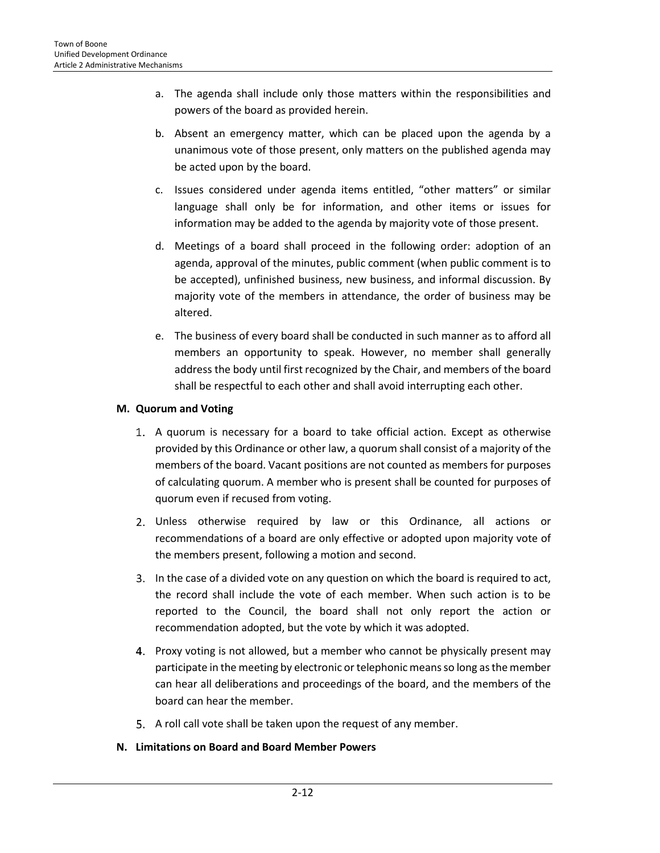- a. The agenda shall include only those matters within the responsibilities and powers of the board as provided herein.
- b. Absent an emergency matter, which can be placed upon the agenda by a unanimous vote of those present, only matters on the published agenda may be acted upon by the board.
- c. Issues considered under agenda items entitled, "other matters" or similar language shall only be for information, and other items or issues for information may be added to the agenda by majority vote of those present.
- d. Meetings of a board shall proceed in the following order: adoption of an agenda, approval of the minutes, public comment (when public comment is to be accepted), unfinished business, new business, and informal discussion. By majority vote of the members in attendance, the order of business may be altered.
- e. The business of every board shall be conducted in such manner as to afford all members an opportunity to speak. However, no member shall generally address the body until first recognized by the Chair, and members of the board shall be respectful to each other and shall avoid interrupting each other.

# **M. Quorum and Voting**

- A quorum is necessary for a board to take official action. Except as otherwise provided by this Ordinance or other law, a quorum shall consist of a majority of the members of the board. Vacant positions are not counted as members for purposes of calculating quorum. A member who is present shall be counted for purposes of quorum even if recused from voting.
- Unless otherwise required by law or this Ordinance, all actions or recommendations of a board are only effective or adopted upon majority vote of the members present, following a motion and second.
- In the case of a divided vote on any question on which the board is required to act, the record shall include the vote of each member. When such action is to be reported to the Council, the board shall not only report the action or recommendation adopted, but the vote by which it was adopted.
- 4. Proxy voting is not allowed, but a member who cannot be physically present may participate in the meeting by electronic or telephonic means so long as the member can hear all deliberations and proceedings of the board, and the members of the board can hear the member.
- 5. A roll call vote shall be taken upon the request of any member.

# **N. Limitations on Board and Board Member Powers**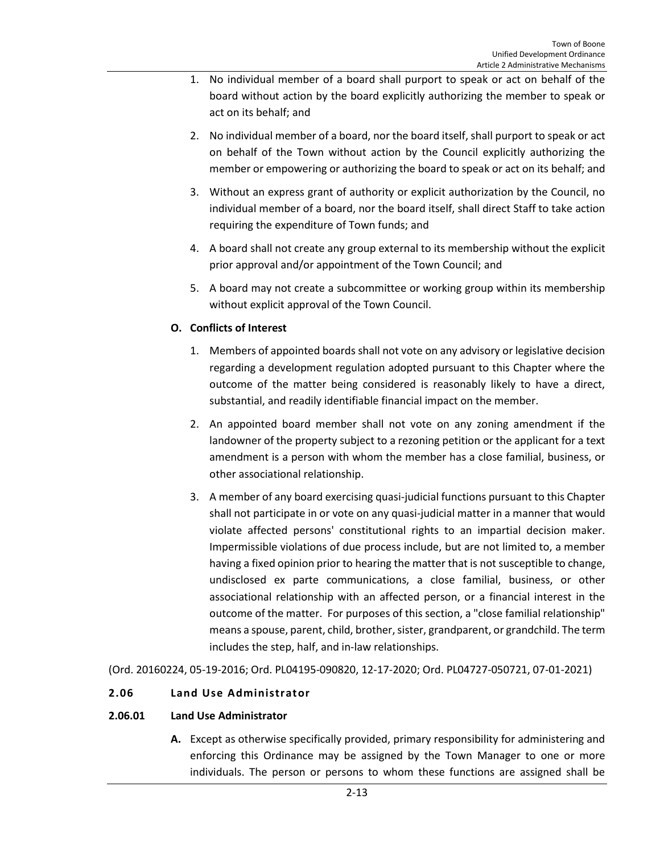- 1. No individual member of a board shall purport to speak or act on behalf of the board without action by the board explicitly authorizing the member to speak or act on its behalf; and
- 2. No individual member of a board, nor the board itself, shall purport to speak or act on behalf of the Town without action by the Council explicitly authorizing the member or empowering or authorizing the board to speak or act on its behalf; and
- 3. Without an express grant of authority or explicit authorization by the Council, no individual member of a board, nor the board itself, shall direct Staff to take action requiring the expenditure of Town funds; and
- 4. A board shall not create any group external to its membership without the explicit prior approval and/or appointment of the Town Council; and
- 5. A board may not create a subcommittee or working group within its membership without explicit approval of the Town Council.

# **O. Conflicts of Interest**

- 1. Members of appointed boards shall not vote on any advisory or legislative decision regarding a development regulation adopted pursuant to this Chapter where the outcome of the matter being considered is reasonably likely to have a direct, substantial, and readily identifiable financial impact on the member.
- 2. An appointed board member shall not vote on any zoning amendment if the landowner of the property subject to a rezoning petition or the applicant for a text amendment is a person with whom the member has a close familial, business, or other associational relationship.
- 3. A member of any board exercising quasi-judicial functions pursuant to this Chapter shall not participate in or vote on any quasi-judicial matter in a manner that would violate affected persons' constitutional rights to an impartial decision maker. Impermissible violations of due process include, but are not limited to, a member having a fixed opinion prior to hearing the matter that is not susceptible to change, undisclosed ex parte communications, a close familial, business, or other associational relationship with an affected person, or a financial interest in the outcome of the matter. For purposes of this section, a "close familial relationship" means a spouse, parent, child, brother, sister, grandparent, or grandchild. The term includes the step, half, and in-law relationships.

(Ord. 20160224, 05-19-2016; Ord. PL04195-090820, 12-17-2020; Ord. PL04727-050721, 07-01-2021)

# <span id="page-12-0"></span>**2.06 Land Use Administrator**

# **2.06.01 Land Use Administrator**

**A.** Except as otherwise specifically provided, primary responsibility for administering and enforcing this Ordinance may be assigned by the Town Manager to one or more individuals. The person or persons to whom these functions are assigned shall be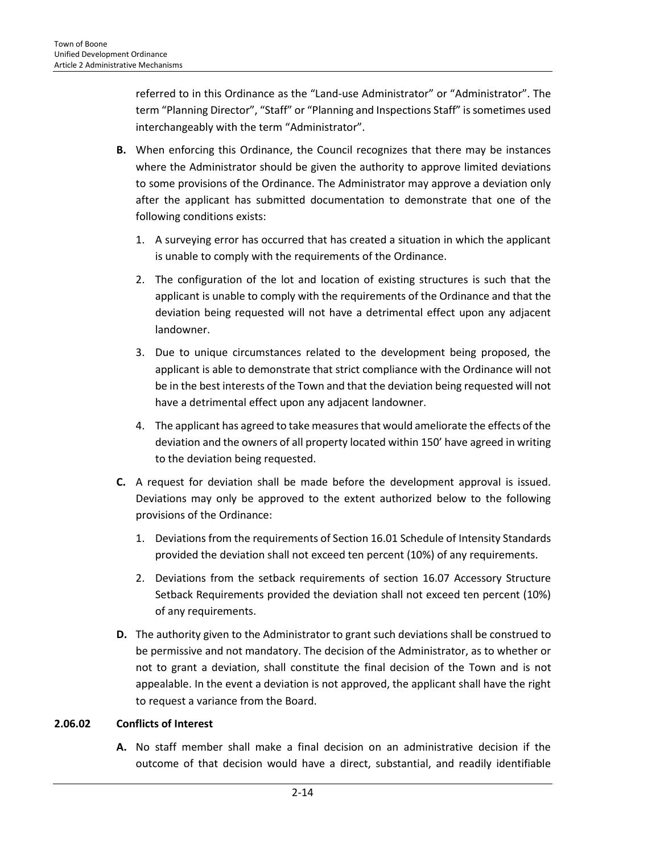referred to in this Ordinance as the "Land-use Administrator" or "Administrator". The term "Planning Director", "Staff" or "Planning and Inspections Staff" is sometimes used interchangeably with the term "Administrator".

- **B.** When enforcing this Ordinance, the Council recognizes that there may be instances where the Administrator should be given the authority to approve limited deviations to some provisions of the Ordinance. The Administrator may approve a deviation only after the applicant has submitted documentation to demonstrate that one of the following conditions exists:
	- 1. A surveying error has occurred that has created a situation in which the applicant is unable to comply with the requirements of the Ordinance.
	- 2. The configuration of the lot and location of existing structures is such that the applicant is unable to comply with the requirements of the Ordinance and that the deviation being requested will not have a detrimental effect upon any adjacent landowner.
	- 3. Due to unique circumstances related to the development being proposed, the applicant is able to demonstrate that strict compliance with the Ordinance will not be in the best interests of the Town and that the deviation being requested will not have a detrimental effect upon any adjacent landowner.
	- 4. The applicant has agreed to take measures that would ameliorate the effects of the deviation and the owners of all property located within 150' have agreed in writing to the deviation being requested.
- **C.** A request for deviation shall be made before the development approval is issued. Deviations may only be approved to the extent authorized below to the following provisions of the Ordinance:
	- 1. Deviations from the requirements of Section 16.01 Schedule of Intensity Standards provided the deviation shall not exceed ten percent (10%) of any requirements.
	- 2. Deviations from the setback requirements of section 16.07 Accessory Structure Setback Requirements provided the deviation shall not exceed ten percent (10%) of any requirements.
- **D.** The authority given to the Administrator to grant such deviations shall be construed to be permissive and not mandatory. The decision of the Administrator, as to whether or not to grant a deviation, shall constitute the final decision of the Town and is not appealable. In the event a deviation is not approved, the applicant shall have the right to request a variance from the Board.

# **2.06.02 Conflicts of Interest**

**A.** No staff member shall make a final decision on an administrative decision if the outcome of that decision would have a direct, substantial, and readily identifiable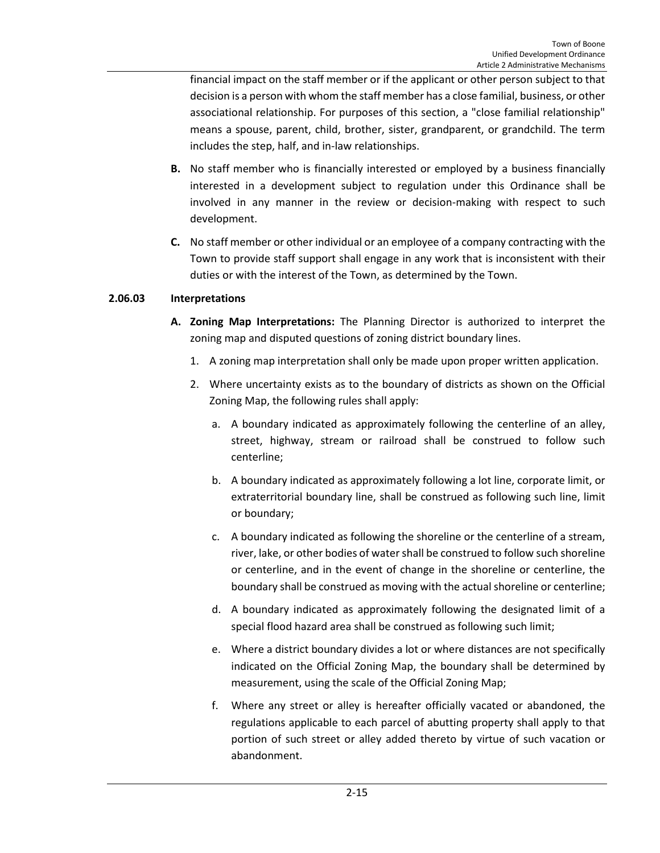financial impact on the staff member or if the applicant or other person subject to that decision is a person with whom the staff member has a close familial, business, or other associational relationship. For purposes of this section, a "close familial relationship" means a spouse, parent, child, brother, sister, grandparent, or grandchild. The term includes the step, half, and in-law relationships.

- **B.** No staff member who is financially interested or employed by a business financially interested in a development subject to regulation under this Ordinance shall be involved in any manner in the review or decision-making with respect to such development.
- **C.** No staff member or other individual or an employee of a company contracting with the Town to provide staff support shall engage in any work that is inconsistent with their duties or with the interest of the Town, as determined by the Town.

# **2.06.03 Interpretations**

- **A. Zoning Map Interpretations:** The Planning Director is authorized to interpret the zoning map and disputed questions of zoning district boundary lines.
	- 1. A zoning map interpretation shall only be made upon proper written application.
	- 2. Where uncertainty exists as to the boundary of districts as shown on the Official Zoning Map, the following rules shall apply:
		- a. A boundary indicated as approximately following the centerline of an alley, street, highway, stream or railroad shall be construed to follow such centerline;
		- b. A boundary indicated as approximately following a lot line, corporate limit, or extraterritorial boundary line, shall be construed as following such line, limit or boundary;
		- c. A boundary indicated as following the shoreline or the centerline of a stream, river, lake, or other bodies of water shall be construed to follow such shoreline or centerline, and in the event of change in the shoreline or centerline, the boundary shall be construed as moving with the actual shoreline or centerline;
		- d. A boundary indicated as approximately following the designated limit of a special flood hazard area shall be construed as following such limit;
		- e. Where a district boundary divides a lot or where distances are not specifically indicated on the Official Zoning Map, the boundary shall be determined by measurement, using the scale of the Official Zoning Map;
		- f. Where any street or alley is hereafter officially vacated or abandoned, the regulations applicable to each parcel of abutting property shall apply to that portion of such street or alley added thereto by virtue of such vacation or abandonment.